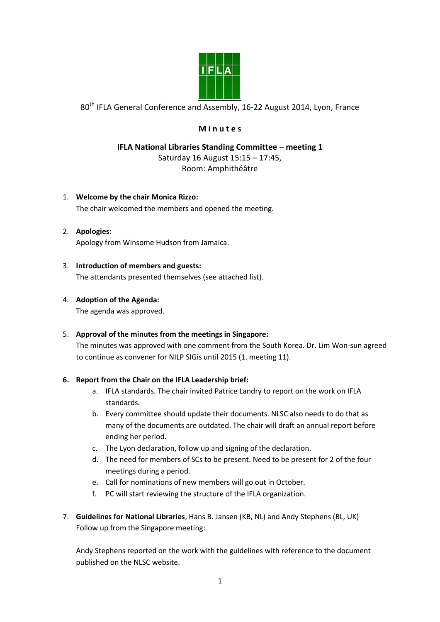

80<sup>th</sup> IFLA General Conference and Assembly, 16-22 August 2014, Lyon, France

# **M i n u t e s**

# **IFLA National Libraries Standing Committee** – **meeting 1** Saturday 16 August 15:15 – 17:45, Room: Amphithéâtre

## 1. **Welcome by the chair Monica Rizzo:**

The chair welcomed the members and opened the meeting.

## 2. **Apologies:** Apology from Winsome Hudson from Jamaica.

## 3. **Introduction of members and guests:**

The attendants presented themselves (see attached list).

## 4. **Adoption of the Agenda:**

The agenda was approved.

#### 5. **Approval of the minutes from the meetings in Singapore:**

The minutes was approved with one comment from the South Korea. Dr. Lim Won-sun agreed to continue as convener for NILP SIGis until 2015 (1. meeting 11).

#### **6. Report from the Chair on the IFLA Leadership brief:**

- a. IFLA standards. The chair invited Patrice Landry to report on the work on IFLA standards.
- b. Every committee should update their documents. NLSC also needs to do that as many of the documents are outdated. The chair will draft an annual report before ending her period.
- c. The Lyon declaration, follow up and signing of the declaration.
- d. The need for members of SCs to be present. Need to be present for 2 of the four meetings during a period.
- e. Call for nominations of new members will go out in October.
- f. PC will start reviewing the structure of the IFLA organization.
- 7. **Guidelines for National Libraries**, Hans B. Jansen (KB, NL) and Andy Stephens (BL, UK) Follow up from the Singapore meeting:

Andy Stephens reported on the work with the guidelines with reference to the document published on the NLSC website.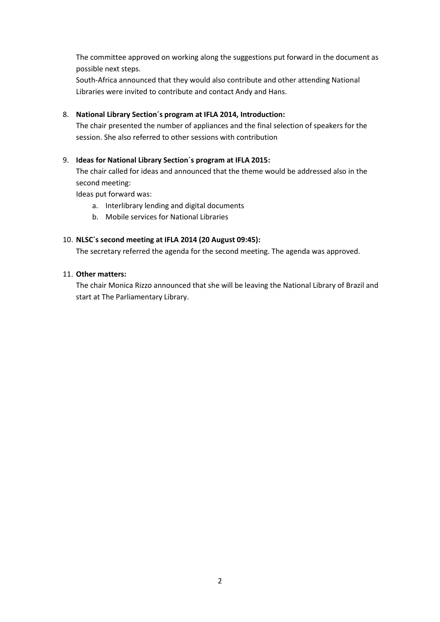The committee approved on working along the suggestions put forward in the document as possible next steps.

South-Africa announced that they would also contribute and other attending National Libraries were invited to contribute and contact Andy and Hans.

## 8. **National Library Section´s program at IFLA 2014, Introduction:**

The chair presented the number of appliances and the final selection of speakers for the session. She also referred to other sessions with contribution

### 9. **Ideas for National Library Section´s program at IFLA 2015:**

The chair called for ideas and announced that the theme would be addressed also in the second meeting:

Ideas put forward was:

- a. Interlibrary lending and digital documents
- b. Mobile services for National Libraries

#### 10. **NLSC´s second meeting at IFLA 2014 (20 August 09:45):**

The secretary referred the agenda for the second meeting. The agenda was approved.

#### 11. **Other matters:**

The chair Monica Rizzo announced that she will be leaving the National Library of Brazil and start at The Parliamentary Library.